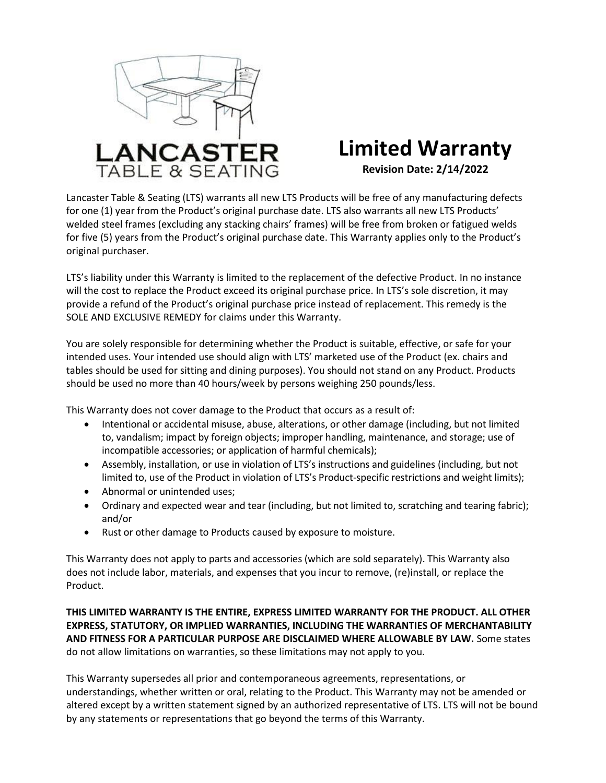

## **Limited Warranty Revision Date: 2/14/2022**

Lancaster Table & Seating (LTS) warrants all new LTS Products will be free of any manufacturing defects for one (1) year from the Product's original purchase date. LTS also warrants all new LTS Products' welded steel frames (excluding any stacking chairs' frames) will be free from broken or fatigued welds for five (5) years from the Product's original purchase date. This Warranty applies only to the Product's original purchaser.

LTS's liability under this Warranty is limited to the replacement of the defective Product. In no instance will the cost to replace the Product exceed its original purchase price. In LTS's sole discretion, it may provide a refund of the Product's original purchase price instead of replacement. This remedy is the SOLE AND EXCLUSIVE REMEDY for claims under this Warranty.

You are solely responsible for determining whether the Product is suitable, effective, or safe for your intended uses. Your intended use should align with LTS' marketed use of the Product (ex. chairs and tables should be used for sitting and dining purposes). You should not stand on any Product. Products should be used no more than 40 hours/week by persons weighing 250 pounds/less.

This Warranty does not cover damage to the Product that occurs as a result of:

- Intentional or accidental misuse, abuse, alterations, or other damage (including, but not limited to, vandalism; impact by foreign objects; improper handling, maintenance, and storage; use of incompatible accessories; or application of harmful chemicals);
- Assembly, installation, or use in violation of LTS's instructions and guidelines (including, but not limited to, use of the Product in violation of LTS's Product-specific restrictions and weight limits);
- Abnormal or unintended uses:
- Ordinary and expected wear and tear (including, but not limited to, scratching and tearing fabric); and/or
- Rust or other damage to Products caused by exposure to moisture.

This Warranty does not apply to parts and accessories (which are sold separately). This Warranty also does not include labor, materials, and expenses that you incur to remove, (re)install, or replace the Product.

**THIS LIMITED WARRANTY IS THE ENTIRE, EXPRESS LIMITED WARRANTY FOR THE PRODUCT. ALL OTHER EXPRESS, STATUTORY, OR IMPLIED WARRANTIES, INCLUDING THE WARRANTIES OF MERCHANTABILITY AND FITNESS FOR A PARTICULAR PURPOSE ARE DISCLAIMED WHERE ALLOWABLE BY LAW.** Some states do not allow limitations on warranties, so these limitations may not apply to you.

This Warranty supersedes all prior and contemporaneous agreements, representations, or understandings, whether written or oral, relating to the Product. This Warranty may not be amended or altered except by a written statement signed by an authorized representative of LTS. LTS will not be bound by any statements or representations that go beyond the terms of this Warranty.